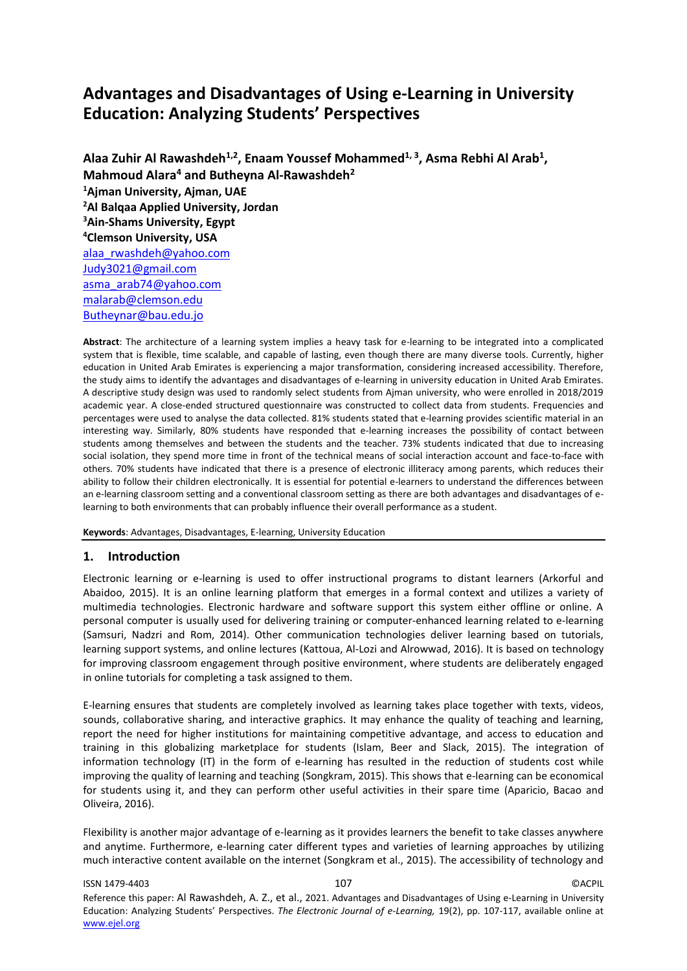# **Advantages and Disadvantages of Using e-Learning in University Education: Analyzing Students' Perspectives**

**Alaa Zuhir Al Rawashdeh1,2 , Enaam Youssef Mohammed1, 3 , Asma Rebhi Al Arab<sup>1</sup> , Mahmoud Alara<sup>4</sup> and Butheyna Al-Rawashdeh<sup>2</sup> <sup>1</sup>Ajman University, Ajman, UAE <sup>2</sup>Al Balqaa Applied University, Jordan <sup>3</sup>Ain-Shams University, Egypt <sup>4</sup>Clemson University, USA** [alaa\\_rwashdeh@yahoo.com](mailto:alaa_rwashdeh@yahoo.com) [Judy3021@gmail.com](mailto:Judy3021@gmail.com) asma\_arab74@yahoo.com [malarab@clemson.edu](mailto:malarab@clemson.edu) Butheynar@bau.edu.jo

**Abstract**: The architecture of a learning system implies a heavy task for e-learning to be integrated into a complicated system that is flexible, time scalable, and capable of lasting, even though there are many diverse tools. Currently, higher education in United Arab Emirates is experiencing a major transformation, considering increased accessibility. Therefore, the study aims to identify the advantages and disadvantages of e-learning in university education in United Arab Emirates. A descriptive study design was used to randomly select students from Ajman university, who were enrolled in 2018/2019 academic year. A close-ended structured questionnaire was constructed to collect data from students. Frequencies and percentages were used to analyse the data collected. 81% students stated that e-learning provides scientific material in an interesting way. Similarly, 80% students have responded that e-learning increases the possibility of contact between students among themselves and between the students and the teacher. 73% students indicated that due to increasing social isolation, they spend more time in front of the technical means of social interaction account and face-to-face with others. 70% students have indicated that there is a presence of electronic illiteracy among parents, which reduces their ability to follow their children electronically. It is essential for potential e-learners to understand the differences between an e-learning classroom setting and a conventional classroom setting as there are both advantages and disadvantages of elearning to both environments that can probably influence their overall performance as a student.

**Keywords**: Advantages, Disadvantages, E-learning, University Education

## **1. Introduction**

Electronic learning or e-learning is used to offer instructional programs to distant learners (Arkorful and Abaidoo, 2015). It is an online learning platform that emerges in a formal context and utilizes a variety of multimedia technologies. Electronic hardware and software support this system either offline or online. A personal computer is usually used for delivering training or computer-enhanced learning related to e-learning (Samsuri, Nadzri and Rom, 2014). Other communication technologies deliver learning based on tutorials, learning support systems, and online lectures (Kattoua, Al-Lozi and Alrowwad, 2016). It is based on technology for improving classroom engagement through positive environment, where students are deliberately engaged in online tutorials for completing a task assigned to them.

E-learning ensures that students are completely involved as learning takes place together with texts, videos, sounds, collaborative sharing, and interactive graphics. It may enhance the quality of teaching and learning, report the need for higher institutions for maintaining competitive advantage, and access to education and training in this globalizing marketplace for students (Islam, Beer and Slack, 2015). The integration of information technology (IT) in the form of e-learning has resulted in the reduction of students cost while improving the quality of learning and teaching (Songkram, 2015). This shows that e-learning can be economical for students using it, and they can perform other useful activities in their spare time (Aparicio, Bacao and Oliveira, 2016).

Flexibility is another major advantage of e-learning as it provides learners the benefit to take classes anywhere and anytime. Furthermore, e-learning cater different types and varieties of learning approaches by utilizing much interactive content available on the internet (Songkram et al., 2015). The accessibility of technology and

#### ISSN 1479-4403 107 ©ACPIL Reference this paper: Al Rawashdeh, A. Z., et al., 2021. Advantages and Disadvantages of Using e-Learning in University Education: Analyzing Students' Perspectives. *The Electronic Journal of e-Learning,* 19(2), pp. 107-117, available online at www.ejel.org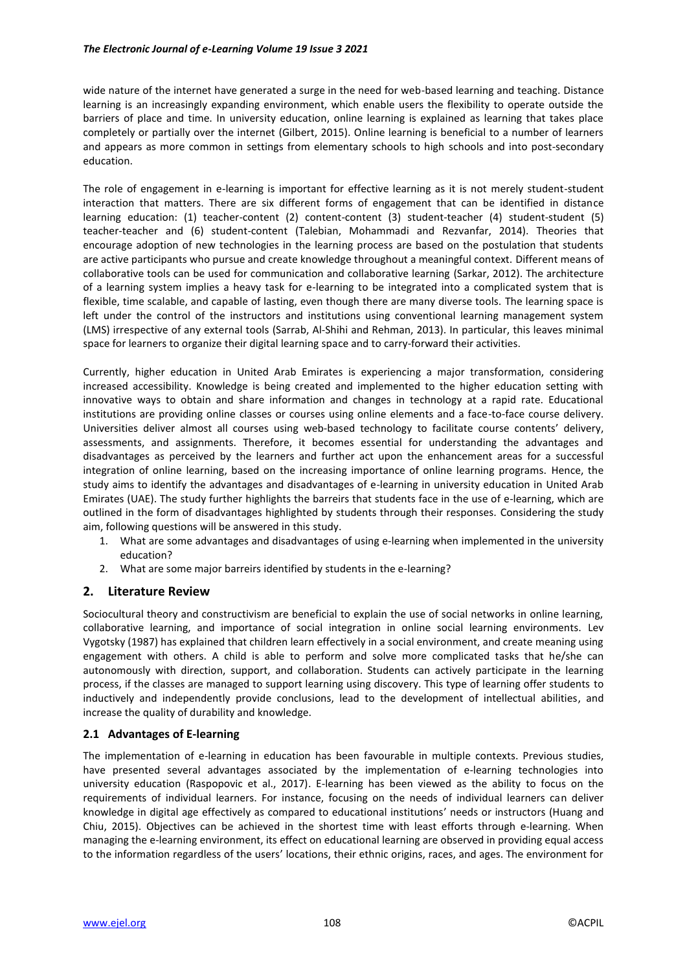wide nature of the internet have generated a surge in the need for web-based learning and teaching. Distance learning is an increasingly expanding environment, which enable users the flexibility to operate outside the barriers of place and time. In university education, online learning is explained as learning that takes place completely or partially over the internet (Gilbert, 2015). Online learning is beneficial to a number of learners and appears as more common in settings from elementary schools to high schools and into post-secondary education.

The role of engagement in e-learning is important for effective learning as it is not merely student-student interaction that matters. There are six different forms of engagement that can be identified in distance learning education: (1) teacher-content (2) content-content (3) student-teacher (4) student-student (5) teacher-teacher and (6) student-content (Talebian, Mohammadi and Rezvanfar, 2014). Theories that encourage adoption of new technologies in the learning process are based on the postulation that students are active participants who pursue and create knowledge throughout a meaningful context. Different means of collaborative tools can be used for communication and collaborative learning (Sarkar, 2012). The architecture of a learning system implies a heavy task for e-learning to be integrated into a complicated system that is flexible, time scalable, and capable of lasting, even though there are many diverse tools. The learning space is left under the control of the instructors and institutions using conventional learning management system (LMS) irrespective of any external tools (Sarrab, Al-Shihi and Rehman, 2013). In particular, this leaves minimal space for learners to organize their digital learning space and to carry-forward their activities.

Currently, higher education in United Arab Emirates is experiencing a major transformation, considering increased accessibility. Knowledge is being created and implemented to the higher education setting with innovative ways to obtain and share information and changes in technology at a rapid rate. Educational institutions are providing online classes or courses using online elements and a face-to-face course delivery. Universities deliver almost all courses using web-based technology to facilitate course contents' delivery, assessments, and assignments. Therefore, it becomes essential for understanding the advantages and disadvantages as perceived by the learners and further act upon the enhancement areas for a successful integration of online learning, based on the increasing importance of online learning programs. Hence, the study aims to identify the advantages and disadvantages of e-learning in university education in United Arab Emirates (UAE). The study further highlights the barreirs that students face in the use of e-learning, which are outlined in the form of disadvantages highlighted by students through their responses. Considering the study aim, following questions will be answered in this study.

- 1. What are some advantages and disadvantages of using e-learning when implemented in the university education?
- 2. What are some major barreirs identified by students in the e-learning?

## **2. Literature Review**

Sociocultural theory and constructivism are beneficial to explain the use of social networks in online learning, collaborative learning, and importance of social integration in online social learning environments. Lev Vygotsky (1987) has explained that children learn effectively in a social environment, and create meaning using engagement with others. A child is able to perform and solve more complicated tasks that he/she can autonomously with direction, support, and collaboration. Students can actively participate in the learning process, if the classes are managed to support learning using discovery. This type of learning offer students to inductively and independently provide conclusions, lead to the development of intellectual abilities, and increase the quality of durability and knowledge.

## **2.1 Advantages of E-learning**

The implementation of e-learning in education has been favourable in multiple contexts. Previous studies, have presented several advantages associated by the implementation of e-learning technologies into university education (Raspopovic et al., 2017). E-learning has been viewed as the ability to focus on the requirements of individual learners. For instance, focusing on the needs of individual learners can deliver knowledge in digital age effectively as compared to educational institutions' needs or instructors (Huang and Chiu, 2015). Objectives can be achieved in the shortest time with least efforts through e-learning. When managing the e-learning environment, its effect on educational learning are observed in providing equal access to the information regardless of the users' locations, their ethnic origins, races, and ages. The environment for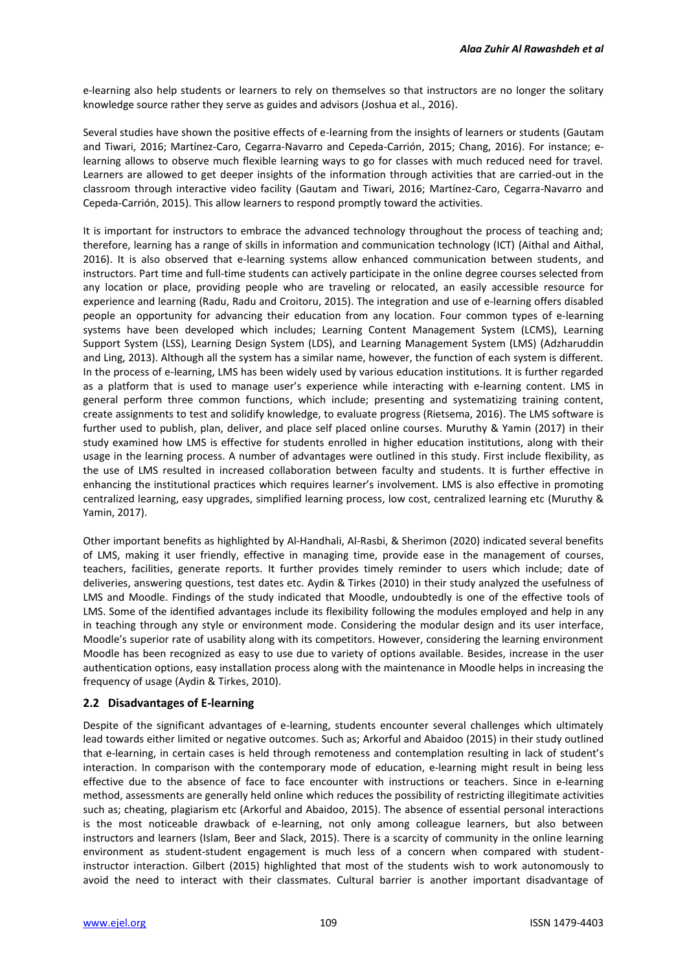e-learning also help students or learners to rely on themselves so that instructors are no longer the solitary knowledge source rather they serve as guides and advisors (Joshua et al., 2016).

Several studies have shown the positive effects of e-learning from the insights of learners or students (Gautam and Tiwari, 2016; Martínez-Caro, Cegarra-Navarro and Cepeda-Carrión, 2015; Chang, 2016). For instance; elearning allows to observe much flexible learning ways to go for classes with much reduced need for travel. Learners are allowed to get deeper insights of the information through activities that are carried-out in the classroom through interactive video facility (Gautam and Tiwari, 2016; Martínez-Caro, Cegarra-Navarro and Cepeda-Carrión, 2015). This allow learners to respond promptly toward the activities.

It is important for instructors to embrace the advanced technology throughout the process of teaching and; therefore, learning has a range of skills in information and communication technology (ICT) (Aithal and Aithal, 2016). It is also observed that e-learning systems allow enhanced communication between students, and instructors. Part time and full-time students can actively participate in the online degree courses selected from any location or place, providing people who are traveling or relocated, an easily accessible resource for experience and learning (Radu, Radu and Croitoru, 2015). The integration and use of e-learning offers disabled people an opportunity for advancing their education from any location. Four common types of e-learning systems have been developed which includes; Learning Content Management System (LCMS), Learning Support System (LSS), Learning Design System (LDS), and Learning Management System (LMS) (Adzharuddin and Ling, 2013). Although all the system has a similar name, however, the function of each system is different. In the process of e-learning, LMS has been widely used by various education institutions. It is further regarded as a platform that is used to manage user's experience while interacting with e-learning content. LMS in general perform three common functions, which include; presenting and systematizing training content, create assignments to test and solidify knowledge, to evaluate progress (Rietsema, 2016). The LMS software is further used to publish, plan, deliver, and place self placed online courses. Muruthy & Yamin (2017) in their study examined how LMS is effective for students enrolled in higher education institutions, along with their usage in the learning process. A number of advantages were outlined in this study. First include flexibility, as the use of LMS resulted in increased collaboration between faculty and students. It is further effective in enhancing the institutional practices which requires learner's involvement. LMS is also effective in promoting centralized learning, easy upgrades, simplified learning process, low cost, centralized learning etc (Muruthy & Yamin, 2017).

Other important benefits as highlighted by Al-Handhali, Al-Rasbi, & Sherimon (2020) indicated several benefits of LMS, making it user friendly, effective in managing time, provide ease in the management of courses, teachers, facilities, generate reports. It further provides timely reminder to users which include; date of deliveries, answering questions, test dates etc. Aydin & Tirkes (2010) in their study analyzed the usefulness of LMS and Moodle. Findings of the study indicated that Moodle, undoubtedly is one of the effective tools of LMS. Some of the identified advantages include its flexibility following the modules employed and help in any in teaching through any style or environment mode. Considering the modular design and its user interface, Moodle's superior rate of usability along with its competitors. However, considering the learning environment Moodle has been recognized as easy to use due to variety of options available. Besides, increase in the user authentication options, easy installation process along with the maintenance in Moodle helps in increasing the frequency of usage (Aydin & Tirkes, 2010).

## **2.2 Disadvantages of E-learning**

Despite of the significant advantages of e-learning, students encounter several challenges which ultimately lead towards either limited or negative outcomes. Such as; Arkorful and Abaidoo (2015) in their study outlined that e-learning, in certain cases is held through remoteness and contemplation resulting in lack of student's interaction. In comparison with the contemporary mode of education, e-learning might result in being less effective due to the absence of face to face encounter with instructions or teachers. Since in e-learning method, assessments are generally held online which reduces the possibility of restricting illegitimate activities such as; cheating, plagiarism etc (Arkorful and Abaidoo, 2015). The absence of essential personal interactions is the most noticeable drawback of e-learning, not only among colleague learners, but also between instructors and learners (Islam, Beer and Slack, 2015). There is a scarcity of community in the online learning environment as student-student engagement is much less of a concern when compared with studentinstructor interaction. Gilbert (2015) highlighted that most of the students wish to work autonomously to avoid the need to interact with their classmates. Cultural barrier is another important disadvantage of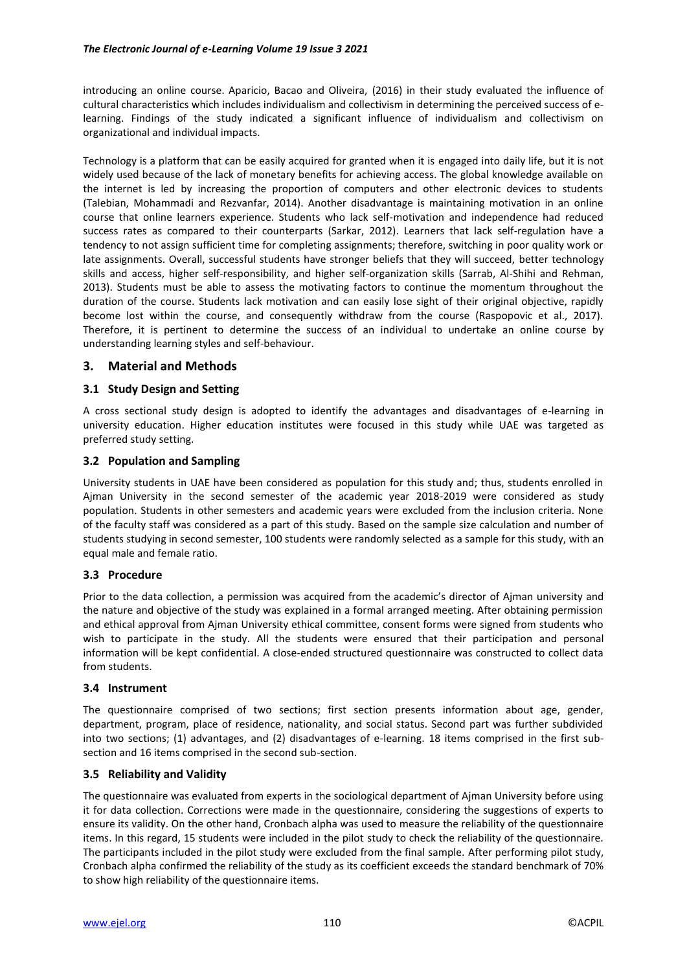introducing an online course. Aparicio, Bacao and Oliveira, (2016) in their study evaluated the influence of cultural characteristics which includes individualism and collectivism in determining the perceived success of elearning. Findings of the study indicated a significant influence of individualism and collectivism on organizational and individual impacts.

Technology is a platform that can be easily acquired for granted when it is engaged into daily life, but it is not widely used because of the lack of monetary benefits for achieving access. The global knowledge available on the internet is led by increasing the proportion of computers and other electronic devices to students (Talebian, Mohammadi and Rezvanfar, 2014). Another disadvantage is maintaining motivation in an online course that online learners experience. Students who lack self-motivation and independence had reduced success rates as compared to their counterparts (Sarkar, 2012). Learners that lack self-regulation have a tendency to not assign sufficient time for completing assignments; therefore, switching in poor quality work or late assignments. Overall, successful students have stronger beliefs that they will succeed, better technology skills and access, higher self-responsibility, and higher self-organization skills (Sarrab, Al-Shihi and Rehman, 2013). Students must be able to assess the motivating factors to continue the momentum throughout the duration of the course. Students lack motivation and can easily lose sight of their original objective, rapidly become lost within the course, and consequently withdraw from the course (Raspopovic et al., 2017). Therefore, it is pertinent to determine the success of an individual to undertake an online course by understanding learning styles and self-behaviour.

## **3. Material and Methods**

## **3.1 Study Design and Setting**

A cross sectional study design is adopted to identify the advantages and disadvantages of e-learning in university education. Higher education institutes were focused in this study while UAE was targeted as preferred study setting.

### **3.2 Population and Sampling**

University students in UAE have been considered as population for this study and; thus, students enrolled in Ajman University in the second semester of the academic year 2018-2019 were considered as study population. Students in other semesters and academic years were excluded from the inclusion criteria. None of the faculty staff was considered as a part of this study. Based on the sample size calculation and number of students studying in second semester, 100 students were randomly selected as a sample for this study, with an equal male and female ratio.

## **3.3 Procedure**

Prior to the data collection, a permission was acquired from the academic's director of Ajman university and the nature and objective of the study was explained in a formal arranged meeting. After obtaining permission and ethical approval from Ajman University ethical committee, consent forms were signed from students who wish to participate in the study. All the students were ensured that their participation and personal information will be kept confidential. A close-ended structured questionnaire was constructed to collect data from students.

#### **3.4 Instrument**

The questionnaire comprised of two sections; first section presents information about age, gender, department, program, place of residence, nationality, and social status. Second part was further subdivided into two sections; (1) advantages, and (2) disadvantages of e-learning. 18 items comprised in the first subsection and 16 items comprised in the second sub-section.

## **3.5 Reliability and Validity**

The questionnaire was evaluated from experts in the sociological department of Ajman University before using it for data collection. Corrections were made in the questionnaire, considering the suggestions of experts to ensure its validity. On the other hand, Cronbach alpha was used to measure the reliability of the questionnaire items. In this regard, 15 students were included in the pilot study to check the reliability of the questionnaire. The participants included in the pilot study were excluded from the final sample. After performing pilot study, Cronbach alpha confirmed the reliability of the study as its coefficient exceeds the standard benchmark of 70% to show high reliability of the questionnaire items.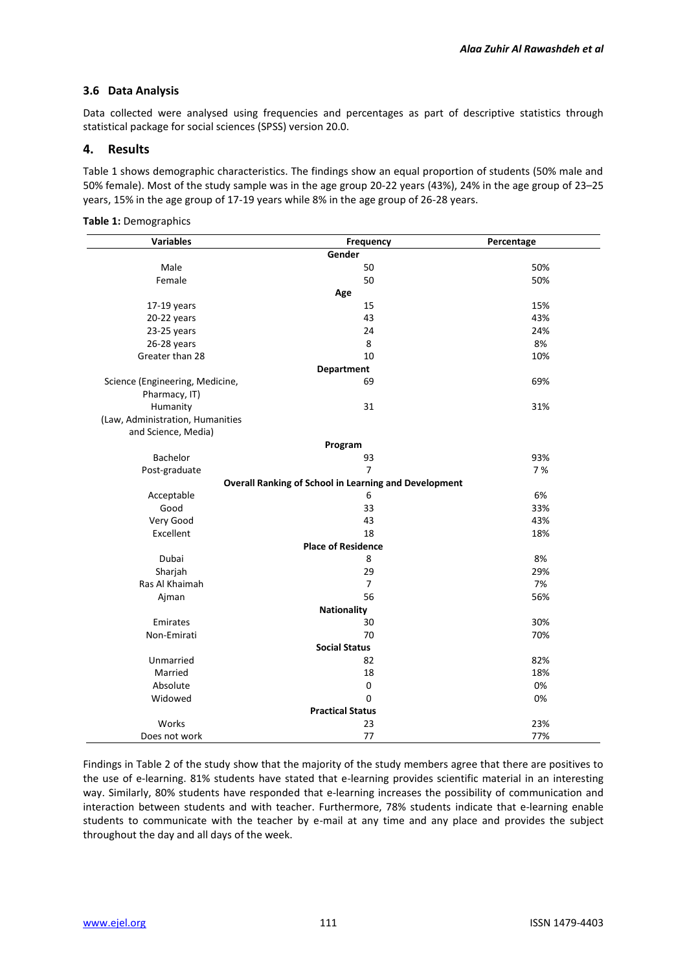## **3.6 Data Analysis**

Data collected were analysed using frequencies and percentages as part of descriptive statistics through statistical package for social sciences (SPSS) version 20.0.

## **4. Results**

Table 1 shows demographic characteristics. The findings show an equal proportion of students (50% male and 50% female). Most of the study sample was in the age group 20-22 years (43%), 24% in the age group of 23–25 years, 15% in the age group of 17-19 years while 8% in the age group of 26-28 years.

| <b>Variables</b>                 | <b>Frequency</b>                                             | Percentage |  |  |
|----------------------------------|--------------------------------------------------------------|------------|--|--|
|                                  | Gender                                                       |            |  |  |
| Male                             | 50                                                           | 50%        |  |  |
| Female                           | 50                                                           | 50%        |  |  |
|                                  | Age                                                          |            |  |  |
| $17-19$ years                    | 15                                                           | 15%        |  |  |
| 20-22 years                      | 43                                                           | 43%        |  |  |
| 23-25 years                      | 24                                                           | 24%        |  |  |
| 26-28 years                      | 8                                                            | 8%         |  |  |
| Greater than 28                  | 10                                                           | 10%        |  |  |
|                                  | <b>Department</b>                                            |            |  |  |
| Science (Engineering, Medicine,  | 69                                                           | 69%        |  |  |
| Pharmacy, IT)                    |                                                              |            |  |  |
| Humanity                         | 31                                                           | 31%        |  |  |
| (Law, Administration, Humanities |                                                              |            |  |  |
| and Science, Media)              |                                                              |            |  |  |
|                                  | Program                                                      |            |  |  |
| <b>Bachelor</b>                  | 93                                                           | 93%        |  |  |
| Post-graduate                    | $\overline{7}$                                               | 7%         |  |  |
|                                  | <b>Overall Ranking of School in Learning and Development</b> |            |  |  |
| Acceptable                       | 6                                                            | 6%         |  |  |
| Good                             | 33                                                           | 33%        |  |  |
| Very Good                        | 43                                                           | 43%        |  |  |
| Excellent                        | 18                                                           | 18%        |  |  |
| <b>Place of Residence</b>        |                                                              |            |  |  |
| Dubai                            | 8                                                            | 8%         |  |  |
| Sharjah                          | 29                                                           | 29%        |  |  |
| Ras Al Khaimah                   | $\overline{7}$                                               | 7%         |  |  |
| Ajman                            | 56                                                           | 56%        |  |  |
|                                  | <b>Nationality</b>                                           |            |  |  |
| Emirates                         | 30                                                           | 30%        |  |  |
| Non-Emirati                      | 70                                                           | 70%        |  |  |
|                                  | <b>Social Status</b>                                         |            |  |  |
| Unmarried                        | 82                                                           | 82%        |  |  |
| Married                          | 18                                                           | 18%        |  |  |
| Absolute                         | $\mathsf 0$                                                  | 0%         |  |  |
| Widowed                          | 0                                                            | 0%         |  |  |
|                                  | <b>Practical Status</b>                                      |            |  |  |
| Works                            | 23                                                           | 23%        |  |  |
| Does not work                    | 77                                                           | 77%        |  |  |

Findings in Table 2 of the study show that the majority of the study members agree that there are positives to the use of e-learning. 81% students have stated that e-learning provides scientific material in an interesting way. Similarly, 80% students have responded that e-learning increases the possibility of communication and interaction between students and with teacher. Furthermore, 78% students indicate that e-learning enable students to communicate with the teacher by e-mail at any time and any place and provides the subject throughout the day and all days of the week.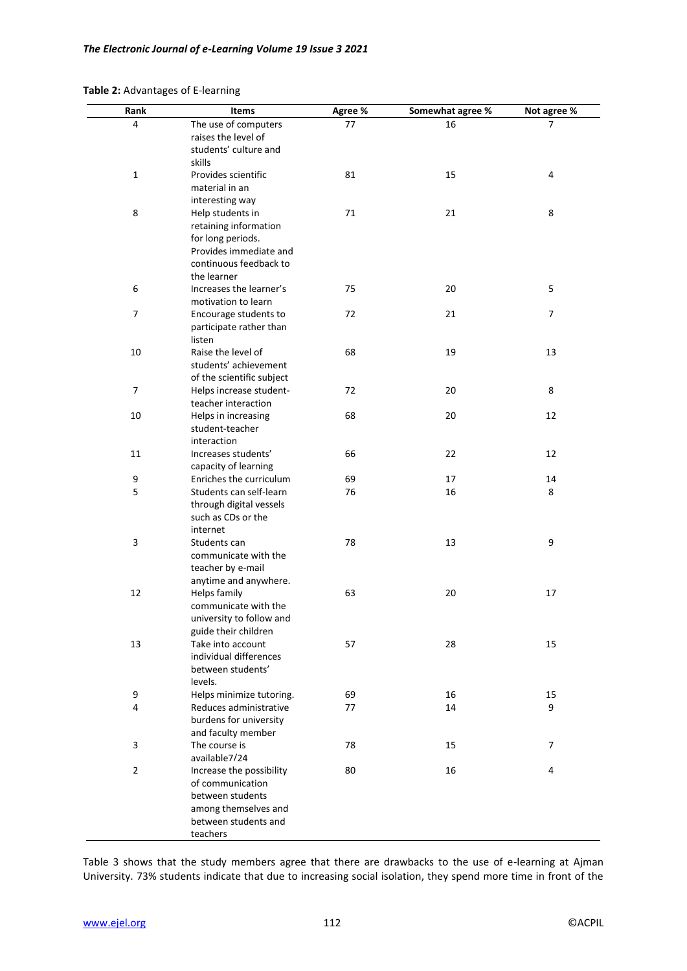#### **Table 2:** Advantages of E-learning

| Rank           | Items                                       | Agree % | Somewhat agree % | Not agree % |
|----------------|---------------------------------------------|---------|------------------|-------------|
| 4              | The use of computers                        | 77      | 16               | 7           |
|                | raises the level of                         |         |                  |             |
|                | students' culture and                       |         |                  |             |
|                | skills                                      |         |                  |             |
| $\mathbf 1$    | Provides scientific                         | 81      | 15               | 4           |
|                | material in an                              |         |                  |             |
|                | interesting way                             |         |                  |             |
| 8              | Help students in                            | 71      | 21               | 8           |
|                | retaining information                       |         |                  |             |
|                | for long periods.<br>Provides immediate and |         |                  |             |
|                | continuous feedback to                      |         |                  |             |
|                | the learner                                 |         |                  |             |
| 6              | Increases the learner's                     | 75      | 20               | 5           |
|                | motivation to learn                         |         |                  |             |
| $\overline{7}$ | Encourage students to                       | 72      | 21               | 7           |
|                | participate rather than                     |         |                  |             |
|                | listen                                      |         |                  |             |
| 10             | Raise the level of                          | 68      | 19               | 13          |
|                | students' achievement                       |         |                  |             |
|                | of the scientific subject                   |         |                  |             |
| $\overline{7}$ | Helps increase student-                     | 72      | 20               | 8           |
|                | teacher interaction                         |         |                  |             |
| 10             | Helps in increasing                         | 68      | 20               | 12          |
|                | student-teacher                             |         |                  |             |
| 11             | interaction<br>Increases students'          | 66      | 22               | 12          |
|                | capacity of learning                        |         |                  |             |
| 9              | Enriches the curriculum                     | 69      | 17               | 14          |
| 5              | Students can self-learn                     | 76      | 16               | 8           |
|                | through digital vessels                     |         |                  |             |
|                | such as CDs or the                          |         |                  |             |
|                | internet                                    |         |                  |             |
| $\mathsf 3$    | Students can                                | 78      | 13               | 9           |
|                | communicate with the                        |         |                  |             |
|                | teacher by e-mail                           |         |                  |             |
|                | anytime and anywhere.                       |         |                  |             |
| 12             | Helps family                                | 63      | 20               | 17          |
|                | communicate with the                        |         |                  |             |
|                | university to follow and                    |         |                  |             |
| 13             | guide their children<br>Take into account   | 57      | 28               | 15          |
|                | individual differences                      |         |                  |             |
|                | between students'                           |         |                  |             |
|                | levels.                                     |         |                  |             |
| 9              | Helps minimize tutoring.                    | 69      | 16               | 15          |
| $\sqrt{4}$     | Reduces administrative                      | 77      | 14               | 9           |
|                | burdens for university                      |         |                  |             |
|                | and faculty member                          |         |                  |             |
| 3              | The course is                               | 78      | 15               | 7           |
|                | available7/24                               |         |                  |             |
| $\mathbf 2$    | Increase the possibility                    | 80      | 16               | 4           |
|                | of communication                            |         |                  |             |
|                | between students                            |         |                  |             |
|                | among themselves and                        |         |                  |             |
|                | between students and<br>teachers            |         |                  |             |
|                |                                             |         |                  |             |

Table 3 shows that the study members agree that there are drawbacks to the use of e-learning at Ajman University. 73% students indicate that due to increasing social isolation, they spend more time in front of the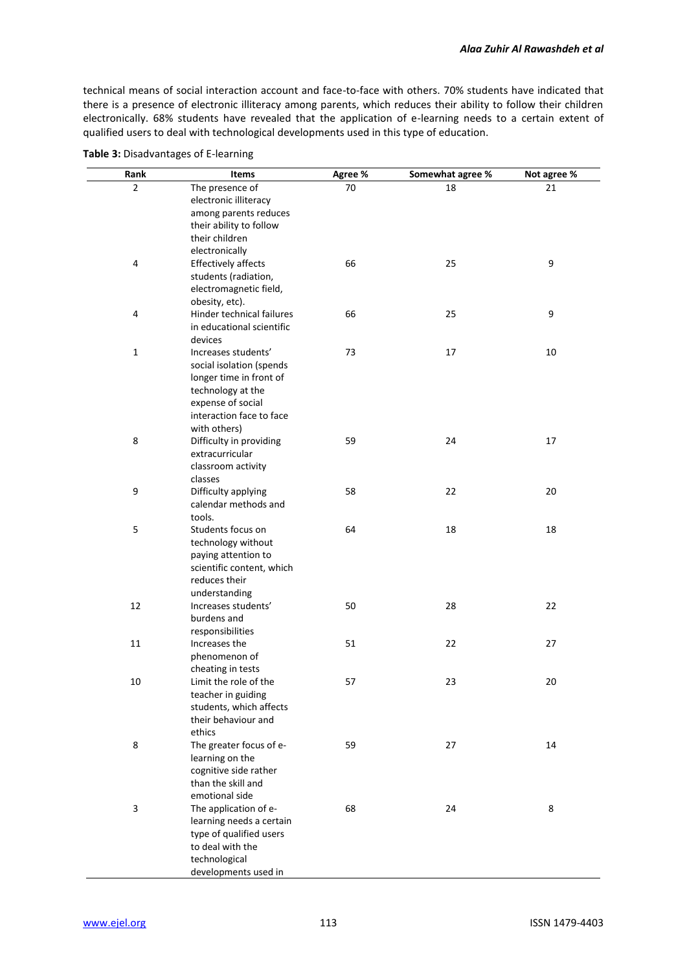technical means of social interaction account and face-to-face with others. 70% students have indicated that there is a presence of electronic illiteracy among parents, which reduces their ability to follow their children electronically. 68% students have revealed that the application of e-learning needs to a certain extent of qualified users to deal with technological developments used in this type of education.

| Rank           | <b>Items</b>               | Agree % | Somewhat agree % | Not agree % |
|----------------|----------------------------|---------|------------------|-------------|
| $\overline{2}$ | The presence of            | 70      | 18               | 21          |
|                | electronic illiteracy      |         |                  |             |
|                | among parents reduces      |         |                  |             |
|                | their ability to follow    |         |                  |             |
|                | their children             |         |                  |             |
|                | electronically             |         |                  |             |
| 4              | <b>Effectively affects</b> | 66      | 25               | 9           |
|                | students (radiation,       |         |                  |             |
|                | electromagnetic field,     |         |                  |             |
|                | obesity, etc).             |         |                  |             |
| 4              | Hinder technical failures  | 66      | 25               | 9           |
|                | in educational scientific  |         |                  |             |
|                | devices                    |         |                  |             |
| $\mathbf 1$    | Increases students'        | 73      | 17               | 10          |
|                | social isolation (spends   |         |                  |             |
|                | longer time in front of    |         |                  |             |
|                | technology at the          |         |                  |             |
|                | expense of social          |         |                  |             |
|                | interaction face to face   |         |                  |             |
|                | with others)               |         |                  |             |
| 8              | Difficulty in providing    | 59      | 24               | 17          |
|                | extracurricular            |         |                  |             |
|                | classroom activity         |         |                  |             |
|                | classes                    |         |                  |             |
| 9              | Difficulty applying        | 58      | 22               | 20          |
|                | calendar methods and       |         |                  |             |
|                | tools.                     |         |                  |             |
| 5              | Students focus on          | 64      | 18               | 18          |
|                | technology without         |         |                  |             |
|                | paying attention to        |         |                  |             |
|                | scientific content, which  |         |                  |             |
|                | reduces their              |         |                  |             |
|                | understanding              |         |                  |             |
| 12             | Increases students'        | 50      | 28               | 22          |
|                | burdens and                |         |                  |             |
|                | responsibilities           |         |                  |             |
| 11             | Increases the              | 51      | 22               | 27          |
|                | phenomenon of              |         |                  |             |
|                | cheating in tests          |         |                  |             |
| 10             | Limit the role of the      | 57      | 23               | 20          |
|                | teacher in guiding         |         |                  |             |
|                | students, which affects    |         |                  |             |
|                | their behaviour and        |         |                  |             |
|                | ethics                     |         |                  |             |
| 8              | The greater focus of e-    | 59      | 27               | 14          |
|                | learning on the            |         |                  |             |
|                | cognitive side rather      |         |                  |             |
|                | than the skill and         |         |                  |             |
|                | emotional side             |         |                  |             |
| 3              | The application of e-      | 68      | 24               | 8           |
|                | learning needs a certain   |         |                  |             |
|                | type of qualified users    |         |                  |             |
|                | to deal with the           |         |                  |             |
|                | technological              |         |                  |             |
|                | developments used in       |         |                  |             |

**Table 3:** Disadvantages of E-learning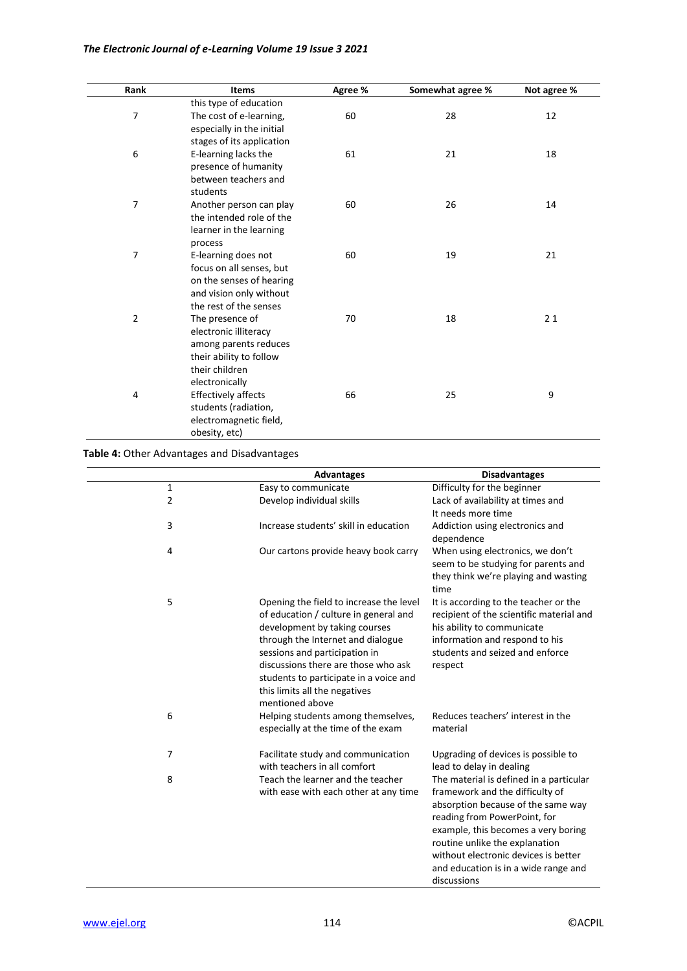| Rank           | <b>Items</b>              | Agree % | Somewhat agree % | Not agree % |
|----------------|---------------------------|---------|------------------|-------------|
|                | this type of education    |         |                  |             |
| $\overline{7}$ | The cost of e-learning,   | 60      | 28               | 12          |
|                | especially in the initial |         |                  |             |
|                | stages of its application |         |                  |             |
| 6              | E-learning lacks the      | 61      | 21               | 18          |
|                | presence of humanity      |         |                  |             |
|                | between teachers and      |         |                  |             |
|                | students                  |         |                  |             |
| $\overline{7}$ | Another person can play   | 60      | 26               | 14          |
|                | the intended role of the  |         |                  |             |
|                | learner in the learning   |         |                  |             |
|                | process                   |         |                  |             |
| $\overline{7}$ | E-learning does not       | 60      | 19               | 21          |
|                | focus on all senses, but  |         |                  |             |
|                | on the senses of hearing  |         |                  |             |
|                | and vision only without   |         |                  |             |
|                | the rest of the senses    |         |                  |             |
| $\overline{2}$ | The presence of           | 70      | 18               | 21          |
|                | electronic illiteracy     |         |                  |             |
|                | among parents reduces     |         |                  |             |
|                | their ability to follow   |         |                  |             |
|                | their children            |         |                  |             |
|                | electronically            |         |                  |             |
| 4              | Effectively affects       | 66      | 25               | 9           |
|                | students (radiation,      |         |                  |             |
|                | electromagnetic field,    |         |                  |             |
|                | obesity, etc)             |         |                  |             |

**Table 4:** Other Advantages and Disadvantages

|                | <b>Advantages</b>                                                                                                                                                                                                                                                                                                            | <b>Disadvantages</b>                                                                                                                                                                                                                                                                                                     |
|----------------|------------------------------------------------------------------------------------------------------------------------------------------------------------------------------------------------------------------------------------------------------------------------------------------------------------------------------|--------------------------------------------------------------------------------------------------------------------------------------------------------------------------------------------------------------------------------------------------------------------------------------------------------------------------|
| $\mathbf{1}$   | Easy to communicate                                                                                                                                                                                                                                                                                                          | Difficulty for the beginner                                                                                                                                                                                                                                                                                              |
| $\overline{2}$ | Develop individual skills                                                                                                                                                                                                                                                                                                    | Lack of availability at times and<br>It needs more time                                                                                                                                                                                                                                                                  |
| 3              | Increase students' skill in education                                                                                                                                                                                                                                                                                        | Addiction using electronics and<br>dependence                                                                                                                                                                                                                                                                            |
| 4              | Our cartons provide heavy book carry                                                                                                                                                                                                                                                                                         | When using electronics, we don't<br>seem to be studying for parents and<br>they think we're playing and wasting<br>time                                                                                                                                                                                                  |
| 5              | Opening the field to increase the level<br>of education / culture in general and<br>development by taking courses<br>through the Internet and dialogue<br>sessions and participation in<br>discussions there are those who ask<br>students to participate in a voice and<br>this limits all the negatives<br>mentioned above | It is according to the teacher or the<br>recipient of the scientific material and<br>his ability to communicate<br>information and respond to his<br>students and seized and enforce<br>respect                                                                                                                          |
| 6              | Helping students among themselves,<br>especially at the time of the exam                                                                                                                                                                                                                                                     | Reduces teachers' interest in the<br>material                                                                                                                                                                                                                                                                            |
| 7              | Facilitate study and communication<br>with teachers in all comfort                                                                                                                                                                                                                                                           | Upgrading of devices is possible to<br>lead to delay in dealing                                                                                                                                                                                                                                                          |
| 8              | Teach the learner and the teacher<br>with ease with each other at any time                                                                                                                                                                                                                                                   | The material is defined in a particular<br>framework and the difficulty of<br>absorption because of the same way<br>reading from PowerPoint, for<br>example, this becomes a very boring<br>routine unlike the explanation<br>without electronic devices is better<br>and education is in a wide range and<br>discussions |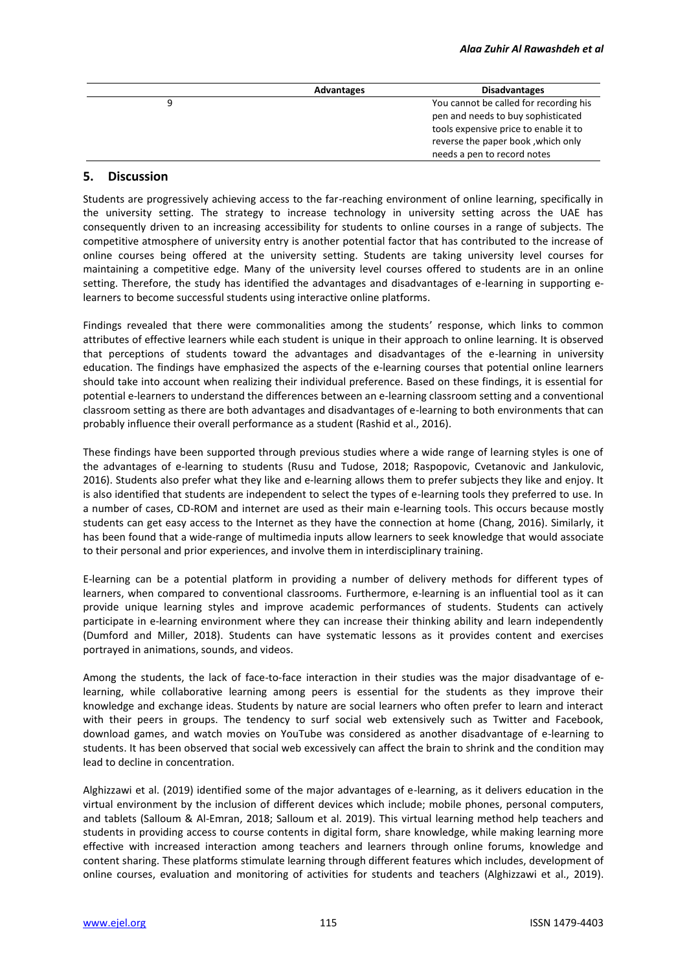|   | <b>Advantages</b> | <b>Disadvantages</b>                   |
|---|-------------------|----------------------------------------|
| 9 |                   | You cannot be called for recording his |
|   |                   | pen and needs to buy sophisticated     |
|   |                   | tools expensive price to enable it to  |
|   |                   | reverse the paper book, which only     |
|   |                   | needs a pen to record notes            |

## **5. Discussion**

Students are progressively achieving access to the far-reaching environment of online learning, specifically in the university setting. The strategy to increase technology in university setting across the UAE has consequently driven to an increasing accessibility for students to online courses in a range of subjects. The competitive atmosphere of university entry is another potential factor that has contributed to the increase of online courses being offered at the university setting. Students are taking university level courses for maintaining a competitive edge. Many of the university level courses offered to students are in an online setting. Therefore, the study has identified the advantages and disadvantages of e-learning in supporting elearners to become successful students using interactive online platforms.

Findings revealed that there were commonalities among the students' response, which links to common attributes of effective learners while each student is unique in their approach to online learning. It is observed that perceptions of students toward the advantages and disadvantages of the e-learning in university education. The findings have emphasized the aspects of the e-learning courses that potential online learners should take into account when realizing their individual preference. Based on these findings, it is essential for potential e-learners to understand the differences between an e-learning classroom setting and a conventional classroom setting as there are both advantages and disadvantages of e-learning to both environments that can probably influence their overall performance as a student (Rashid et al., 2016).

These findings have been supported through previous studies where a wide range of learning styles is one of the advantages of e-learning to students (Rusu and Tudose, 2018; Raspopovic, Cvetanovic and Jankulovic, 2016). Students also prefer what they like and e-learning allows them to prefer subjects they like and enjoy. It is also identified that students are independent to select the types of e-learning tools they preferred to use. In a number of cases, CD-ROM and internet are used as their main e-learning tools. This occurs because mostly students can get easy access to the Internet as they have the connection at home (Chang, 2016). Similarly, it has been found that a wide-range of multimedia inputs allow learners to seek knowledge that would associate to their personal and prior experiences, and involve them in interdisciplinary training.

E-learning can be a potential platform in providing a number of delivery methods for different types of learners, when compared to conventional classrooms. Furthermore, e-learning is an influential tool as it can provide unique learning styles and improve academic performances of students. Students can actively participate in e-learning environment where they can increase their thinking ability and learn independently (Dumford and Miller, 2018). Students can have systematic lessons as it provides content and exercises portrayed in animations, sounds, and videos.

Among the students, the lack of face-to-face interaction in their studies was the major disadvantage of elearning, while collaborative learning among peers is essential for the students as they improve their knowledge and exchange ideas. Students by nature are social learners who often prefer to learn and interact with their peers in groups. The tendency to surf social web extensively such as Twitter and Facebook, download games, and watch movies on YouTube was considered as another disadvantage of e-learning to students. It has been observed that social web excessively can affect the brain to shrink and the condition may lead to decline in concentration.

Alghizzawi et al. (2019) identified some of the major advantages of e-learning, as it delivers education in the virtual environment by the inclusion of different devices which include; mobile phones, personal computers, and tablets (Salloum & Al-Emran, 2018; Salloum et al. 2019). This virtual learning method help teachers and students in providing access to course contents in digital form, share knowledge, while making learning more effective with increased interaction among teachers and learners through online forums, knowledge and content sharing. These platforms stimulate learning through different features which includes, development of online courses, evaluation and monitoring of activities for students and teachers (Alghizzawi et al., 2019).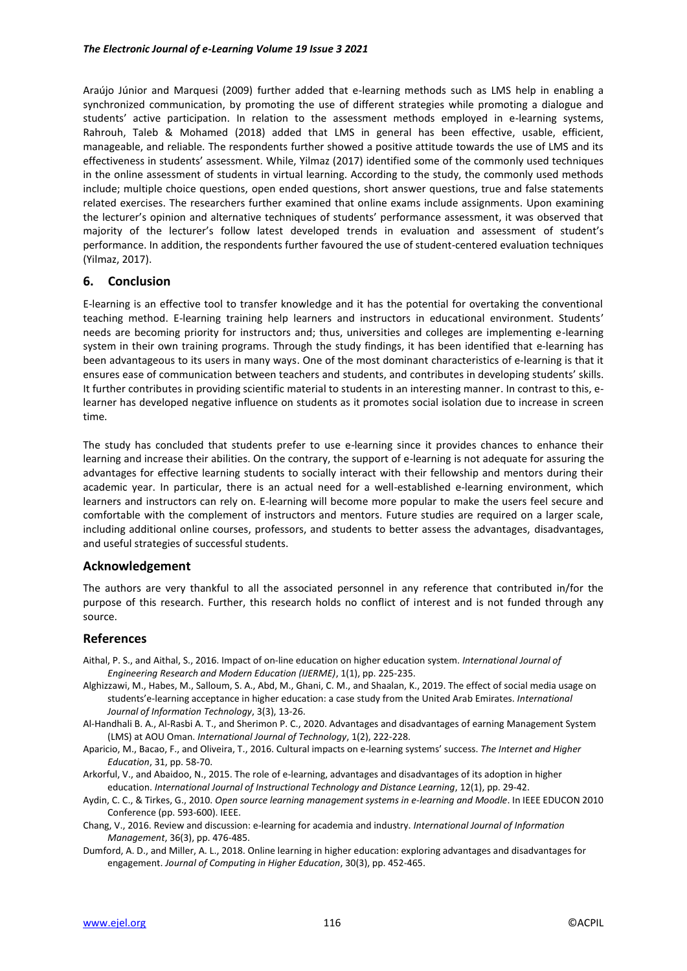Araújo Júnior and Marquesi (2009) further added that e-learning methods such as LMS help in enabling a synchronized communication, by promoting the use of different strategies while promoting a dialogue and students' active participation. In relation to the assessment methods employed in e-learning systems, Rahrouh, Taleb & Mohamed (2018) added that LMS in general has been effective, usable, efficient, manageable, and reliable. The respondents further showed a positive attitude towards the use of LMS and its effectiveness in students' assessment. While, Yilmaz (2017) identified some of the commonly used techniques in the online assessment of students in virtual learning. According to the study, the commonly used methods include; multiple choice questions, open ended questions, short answer questions, true and false statements related exercises. The researchers further examined that online exams include assignments. Upon examining the lecturer's opinion and alternative techniques of students' performance assessment, it was observed that majority of the lecturer's follow latest developed trends in evaluation and assessment of student's performance. In addition, the respondents further favoured the use of student-centered evaluation techniques (Yilmaz, 2017).

## **6. Conclusion**

E-learning is an effective tool to transfer knowledge and it has the potential for overtaking the conventional teaching method. E-learning training help learners and instructors in educational environment. Students' needs are becoming priority for instructors and; thus, universities and colleges are implementing e-learning system in their own training programs. Through the study findings, it has been identified that e-learning has been advantageous to its users in many ways. One of the most dominant characteristics of e-learning is that it ensures ease of communication between teachers and students, and contributes in developing students' skills. It further contributes in providing scientific material to students in an interesting manner. In contrast to this, elearner has developed negative influence on students as it promotes social isolation due to increase in screen time.

The study has concluded that students prefer to use e-learning since it provides chances to enhance their learning and increase their abilities. On the contrary, the support of e-learning is not adequate for assuring the advantages for effective learning students to socially interact with their fellowship and mentors during their academic year. In particular, there is an actual need for a well-established e-learning environment, which learners and instructors can rely on. E-learning will become more popular to make the users feel secure and comfortable with the complement of instructors and mentors. Future studies are required on a larger scale, including additional online courses, professors, and students to better assess the advantages, disadvantages, and useful strategies of successful students.

## **Acknowledgement**

The authors are very thankful to all the associated personnel in any reference that contributed in/for the purpose of this research. Further, this research holds no conflict of interest and is not funded through any source.

## **References**

- Aithal, P. S., and Aithal, S., 2016. Impact of on-line education on higher education system. *International Journal of Engineering Research and Modern Education (IJERME)*, 1(1), pp. 225-235.
- Alghizzawi, M., Habes, M., Salloum, S. A., Abd, M., Ghani, C. M., and Shaalan, K., 2019. The effect of social media usage on students'e-learning acceptance in higher education: a case study from the United Arab Emirates. *International Journal of Information Technology*, 3(3), 13-26.
- Al-Handhali B. A., Al-Rasbi A. T., and Sherimon P. C., 2020. Advantages and disadvantages of earning Management System (LMS) at AOU Oman. *International Journal of Technology*, 1(2), 222-228.
- Aparicio, M., Bacao, F., and Oliveira, T., 2016. Cultural impacts on e-learning systems' success. *The Internet and Higher Education*, 31, pp. 58-70.
- Arkorful, V., and Abaidoo, N., 2015. The role of e-learning, advantages and disadvantages of its adoption in higher education. *International Journal of Instructional Technology and Distance Learning*, 12(1), pp. 29-42.
- Aydin, C. C., & Tirkes, G., 2010. *Open source learning management systems in e-learning and Moodle*. In IEEE EDUCON 2010 Conference (pp. 593-600). IEEE.
- Chang, V., 2016. Review and discussion: e-learning for academia and industry. *International Journal of Information Management*, 36(3), pp. 476-485.
- Dumford, A. D., and Miller, A. L., 2018. Online learning in higher education: exploring advantages and disadvantages for engagement. *Journal of Computing in Higher Education*, 30(3), pp. 452-465.